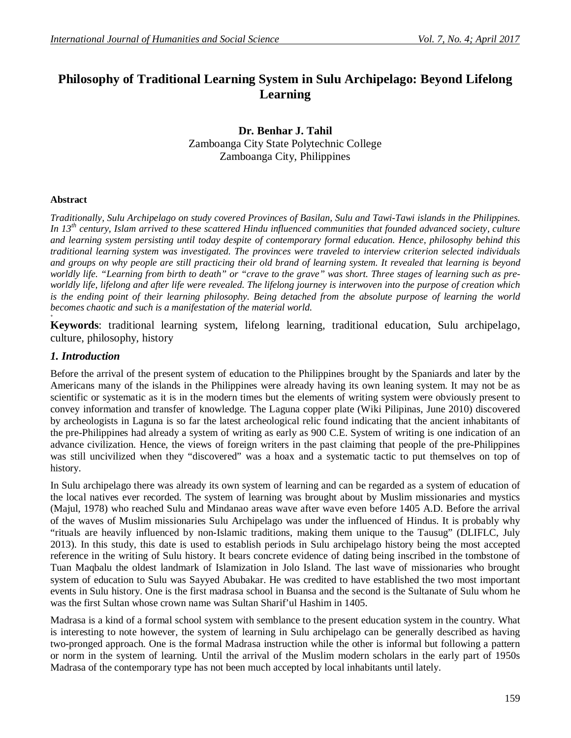# **Philosophy of Traditional Learning System in Sulu Archipelago: Beyond Lifelong Learning**

**Dr. Benhar J. Tahil** Zamboanga City State Polytechnic College Zamboanga City, Philippines

#### **Abstract**

**+**

*Traditionally, Sulu Archipelago on study covered Provinces of Basilan, Sulu and Tawi-Tawi islands in the Philippines. In 13th century, Islam arrived to these scattered Hindu influenced communities that founded advanced society, culture and learning system persisting until today despite of contemporary formal education. Hence, philosophy behind this traditional learning system was investigated. The provinces were traveled to interview criterion selected individuals and groups on why people are still practicing their old brand of learning system. It revealed that learning is beyond worldly life. "Learning from birth to death" or "crave to the grave" was short. Three stages of learning such as preworldly life, lifelong and after life were revealed. The lifelong journey is interwoven into the purpose of creation which*  is the ending point of their learning philosophy. Being detached from the absolute purpose of learning the world *becomes chaotic and such is a manifestation of the material world.*

**Keywords**: traditional learning system, lifelong learning, traditional education, Sulu archipelago, culture, philosophy, history

#### *1. Introduction*

Before the arrival of the present system of education to the Philippines brought by the Spaniards and later by the Americans many of the islands in the Philippines were already having its own leaning system. It may not be as scientific or systematic as it is in the modern times but the elements of writing system were obviously present to convey information and transfer of knowledge. The Laguna copper plate (Wiki Pilipinas, June 2010) discovered by archeologists in Laguna is so far the latest archeological relic found indicating that the ancient inhabitants of the pre-Philippines had already a system of writing as early as 900 C.E. System of writing is one indication of an advance civilization. Hence, the views of foreign writers in the past claiming that people of the pre-Philippines was still uncivilized when they "discovered" was a hoax and a systematic tactic to put themselves on top of history.

In Sulu archipelago there was already its own system of learning and can be regarded as a system of education of the local natives ever recorded. The system of learning was brought about by Muslim missionaries and mystics (Majul, 1978) who reached Sulu and Mindanao areas wave after wave even before 1405 A.D. Before the arrival of the waves of Muslim missionaries Sulu Archipelago was under the influenced of Hindus. It is probably why "rituals are heavily influenced by non-Islamic traditions, making them unique to the Tausug" (DLIFLC, July 2013). In this study, this date is used to establish periods in Sulu archipelago history being the most accepted reference in the writing of Sulu history. It bears concrete evidence of dating being inscribed in the tombstone of Tuan Maqbalu the oldest landmark of Islamization in Jolo Island. The last wave of missionaries who brought system of education to Sulu was Sayyed Abubakar. He was credited to have established the two most important events in Sulu history. One is the first madrasa school in Buansa and the second is the Sultanate of Sulu whom he was the first Sultan whose crown name was Sultan Sharif'ul Hashim in 1405.

Madrasa is a kind of a formal school system with semblance to the present education system in the country. What is interesting to note however, the system of learning in Sulu archipelago can be generally described as having two-pronged approach. One is the formal Madrasa instruction while the other is informal but following a pattern or norm in the system of learning. Until the arrival of the Muslim modern scholars in the early part of 1950s Madrasa of the contemporary type has not been much accepted by local inhabitants until lately.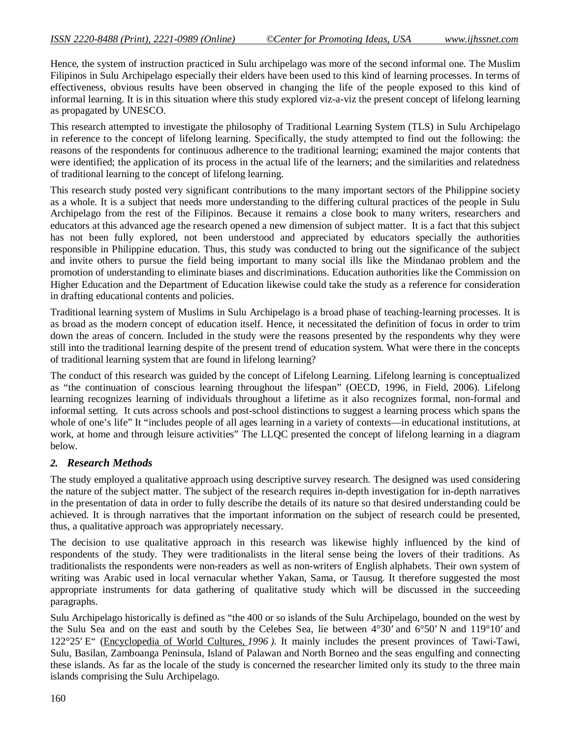Hence, the system of instruction practiced in Sulu archipelago was more of the second informal one. The Muslim Filipinos in Sulu Archipelago especially their elders have been used to this kind of learning processes. In terms of effectiveness, obvious results have been observed in changing the life of the people exposed to this kind of informal learning. It is in this situation where this study explored viz-a-viz the present concept of lifelong learning as propagated by UNESCO.

This research attempted to investigate the philosophy of Traditional Learning System (TLS) in Sulu Archipelago in reference to the concept of lifelong learning. Specifically, the study attempted to find out the following: the reasons of the respondents for continuous adherence to the traditional learning; examined the major contents that were identified; the application of its process in the actual life of the learners; and the similarities and relatedness of traditional learning to the concept of lifelong learning.

This research study posted very significant contributions to the many important sectors of the Philippine society as a whole. It is a subject that needs more understanding to the differing cultural practices of the people in Sulu Archipelago from the rest of the Filipinos. Because it remains a close book to many writers, researchers and educators at this advanced age the research opened a new dimension of subject matter. It is a fact that this subject has not been fully explored, not been understood and appreciated by educators specially the authorities responsible in Philippine education. Thus, this study was conducted to bring out the significance of the subject and invite others to pursue the field being important to many social ills like the Mindanao problem and the promotion of understanding to eliminate biases and discriminations. Education authorities like the Commission on Higher Education and the Department of Education likewise could take the study as a reference for consideration in drafting educational contents and policies.

Traditional learning system of Muslims in Sulu Archipelago is a broad phase of teaching-learning processes. It is as broad as the modern concept of education itself. Hence, it necessitated the definition of focus in order to trim down the areas of concern. Included in the study were the reasons presented by the respondents why they were still into the traditional learning despite of the present trend of education system. What were there in the concepts of traditional learning system that are found in lifelong learning?

The conduct of this research was guided by the concept of Lifelong Learning. Lifelong learning is conceptualized as "the continuation of conscious learning throughout the lifespan" (OECD, 1996, in Field, 2006). Lifelong learning recognizes learning of individuals throughout a lifetime as it also recognizes formal, non-formal and informal setting. It cuts across schools and post-school distinctions to suggest a learning process which spans the whole of one's life" It "includes people of all ages learning in a variety of contexts—in educational institutions, at work, at home and through leisure activities" The LLQC presented the concept of lifelong learning in a diagram below.

# *2. Research Methods*

The study employed a qualitative approach using descriptive survey research. The designed was used considering the nature of the subject matter. The subject of the research requires in-depth investigation for in-depth narratives in the presentation of data in order to fully describe the details of its nature so that desired understanding could be achieved. It is through narratives that the important information on the subject of research could be presented, thus, a qualitative approach was appropriately necessary.

The decision to use qualitative approach in this research was likewise highly influenced by the kind of respondents of the study. They were traditionalists in the literal sense being the lovers of their traditions. As traditionalists the respondents were non-readers as well as non-writers of English alphabets. Their own system of writing was Arabic used in local vernacular whether Yakan, Sama, or Tausug. It therefore suggested the most appropriate instruments for data gathering of qualitative study which will be discussed in the succeeding paragraphs.

Sulu Archipelago historically is defined as "the 400 or so islands of the Sulu Archipelago, bounded on the west by the Sulu Sea and on the east and south by the Celebes Sea, lie between 4°30′ and 6°50′ N and 119°10′ and 122°25′ E" (Encyclopedia of World Cultures, *1996 ).* It mainly includes the present provinces of Tawi-Tawi, Sulu, Basilan, Zamboanga Peninsula, Island of Palawan and North Borneo and the seas engulfing and connecting these islands. As far as the locale of the study is concerned the researcher limited only its study to the three main islands comprising the Sulu Archipelago.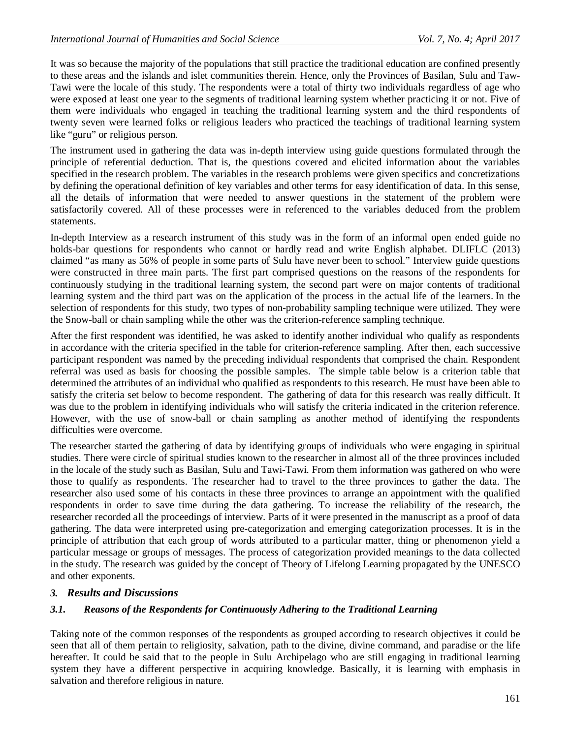It was so because the majority of the populations that still practice the traditional education are confined presently to these areas and the islands and islet communities therein. Hence, only the Provinces of Basilan, Sulu and Taw-Tawi were the locale of this study. The respondents were a total of thirty two individuals regardless of age who were exposed at least one year to the segments of traditional learning system whether practicing it or not. Five of them were individuals who engaged in teaching the traditional learning system and the third respondents of twenty seven were learned folks or religious leaders who practiced the teachings of traditional learning system like "guru" or religious person.

The instrument used in gathering the data was in-depth interview using guide questions formulated through the principle of referential deduction. That is, the questions covered and elicited information about the variables specified in the research problem. The variables in the research problems were given specifics and concretizations by defining the operational definition of key variables and other terms for easy identification of data. In this sense, all the details of information that were needed to answer questions in the statement of the problem were satisfactorily covered. All of these processes were in referenced to the variables deduced from the problem statements.

In-depth Interview as a research instrument of this study was in the form of an informal open ended guide no holds-bar questions for respondents who cannot or hardly read and write English alphabet. DLIFLC (2013) claimed "as many as 56% of people in some parts of Sulu have never been to school." Interview guide questions were constructed in three main parts. The first part comprised questions on the reasons of the respondents for continuously studying in the traditional learning system, the second part were on major contents of traditional learning system and the third part was on the application of the process in the actual life of the learners. In the selection of respondents for this study, two types of non-probability sampling technique were utilized. They were the Snow-ball or chain sampling while the other was the criterion-reference sampling technique.

After the first respondent was identified, he was asked to identify another individual who qualify as respondents in accordance with the criteria specified in the table for criterion-reference sampling. After then, each successive participant respondent was named by the preceding individual respondents that comprised the chain. Respondent referral was used as basis for choosing the possible samples. The simple table below is a criterion table that determined the attributes of an individual who qualified as respondents to this research. He must have been able to satisfy the criteria set below to become respondent. The gathering of data for this research was really difficult. It was due to the problem in identifying individuals who will satisfy the criteria indicated in the criterion reference. However, with the use of snow-ball or chain sampling as another method of identifying the respondents difficulties were overcome.

The researcher started the gathering of data by identifying groups of individuals who were engaging in spiritual studies. There were circle of spiritual studies known to the researcher in almost all of the three provinces included in the locale of the study such as Basilan, Sulu and Tawi-Tawi. From them information was gathered on who were those to qualify as respondents. The researcher had to travel to the three provinces to gather the data. The researcher also used some of his contacts in these three provinces to arrange an appointment with the qualified respondents in order to save time during the data gathering. To increase the reliability of the research, the researcher recorded all the proceedings of interview. Parts of it were presented in the manuscript as a proof of data gathering. The data were interpreted using pre-categorization and emerging categorization processes. It is in the principle of attribution that each group of words attributed to a particular matter, thing or phenomenon yield a particular message or groups of messages. The process of categorization provided meanings to the data collected in the study. The research was guided by the concept of Theory of Lifelong Learning propagated by the UNESCO and other exponents.

# *3. Results and Discussions*

### *3.1. Reasons of the Respondents for Continuously Adhering to the Traditional Learning*

Taking note of the common responses of the respondents as grouped according to research objectives it could be seen that all of them pertain to religiosity, salvation, path to the divine, divine command, and paradise or the life hereafter. It could be said that to the people in Sulu Archipelago who are still engaging in traditional learning system they have a different perspective in acquiring knowledge. Basically, it is learning with emphasis in salvation and therefore religious in nature.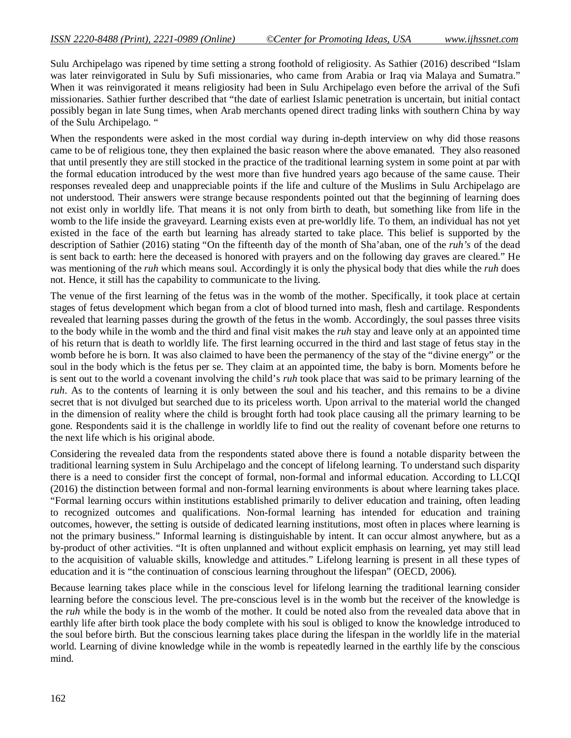Sulu Archipelago was ripened by time setting a strong foothold of religiosity. As Sathier (2016) described "Islam was later reinvigorated in Sulu by Sufi missionaries, who came from Arabia or Iraq via Malaya and Sumatra." When it was reinvigorated it means religiosity had been in Sulu Archipelago even before the arrival of the Sufi missionaries. Sathier further described that "the date of earliest Islamic penetration is uncertain, but initial contact possibly began in late Sung times, when Arab merchants opened direct trading links with southern China by way of the Sulu Archipelago. "

When the respondents were asked in the most cordial way during in-depth interview on why did those reasons came to be of religious tone, they then explained the basic reason where the above emanated. They also reasoned that until presently they are still stocked in the practice of the traditional learning system in some point at par with the formal education introduced by the west more than five hundred years ago because of the same cause. Their responses revealed deep and unappreciable points if the life and culture of the Muslims in Sulu Archipelago are not understood. Their answers were strange because respondents pointed out that the beginning of learning does not exist only in worldly life. That means it is not only from birth to death, but something like from life in the womb to the life inside the graveyard. Learning exists even at pre-worldly life. To them, an individual has not yet existed in the face of the earth but learning has already started to take place. This belief is supported by the description of Sathier (2016) stating "On the fifteenth day of the month of Sha'aban, one of the *ruh's* of the dead is sent back to earth: here the deceased is honored with prayers and on the following day graves are cleared." He was mentioning of the *ruh* which means soul. Accordingly it is only the physical body that dies while the *ruh* does not. Hence, it still has the capability to communicate to the living.

The venue of the first learning of the fetus was in the womb of the mother. Specifically, it took place at certain stages of fetus development which began from a clot of blood turned into mash, flesh and cartilage. Respondents revealed that learning passes during the growth of the fetus in the womb. Accordingly, the soul passes three visits to the body while in the womb and the third and final visit makes the *ruh* stay and leave only at an appointed time of his return that is death to worldly life. The first learning occurred in the third and last stage of fetus stay in the womb before he is born. It was also claimed to have been the permanency of the stay of the "divine energy" or the soul in the body which is the fetus per se. They claim at an appointed time, the baby is born. Moments before he is sent out to the world a covenant involving the child's *ruh* took place that was said to be primary learning of the *ruh*. As to the contents of learning it is only between the soul and his teacher, and this remains to be a divine secret that is not divulged but searched due to its priceless worth. Upon arrival to the material world the changed in the dimension of reality where the child is brought forth had took place causing all the primary learning to be gone. Respondents said it is the challenge in worldly life to find out the reality of covenant before one returns to the next life which is his original abode.

Considering the revealed data from the respondents stated above there is found a notable disparity between the traditional learning system in Sulu Archipelago and the concept of lifelong learning. To understand such disparity there is a need to consider first the concept of formal, non-formal and informal education. According to LLCQI (2016) the distinction between formal and non-formal learning environments is about where learning takes place. "Formal learning occurs within institutions established primarily to deliver education and training, often leading to recognized outcomes and qualifications. Non-formal learning has intended for education and training outcomes, however, the setting is outside of dedicated learning institutions, most often in places where learning is not the primary business." Informal learning is distinguishable by intent. It can occur almost anywhere, but as a by-product of other activities. "It is often unplanned and without explicit emphasis on learning, yet may still lead to the acquisition of valuable skills, knowledge and attitudes." Lifelong learning is present in all these types of education and it is "the continuation of conscious learning throughout the lifespan" (OECD, 2006).

Because learning takes place while in the conscious level for lifelong learning the traditional learning consider learning before the conscious level. The pre-conscious level is in the womb but the receiver of the knowledge is the *ruh* while the body is in the womb of the mother. It could be noted also from the revealed data above that in earthly life after birth took place the body complete with his soul is obliged to know the knowledge introduced to the soul before birth. But the conscious learning takes place during the lifespan in the worldly life in the material world. Learning of divine knowledge while in the womb is repeatedly learned in the earthly life by the conscious mind.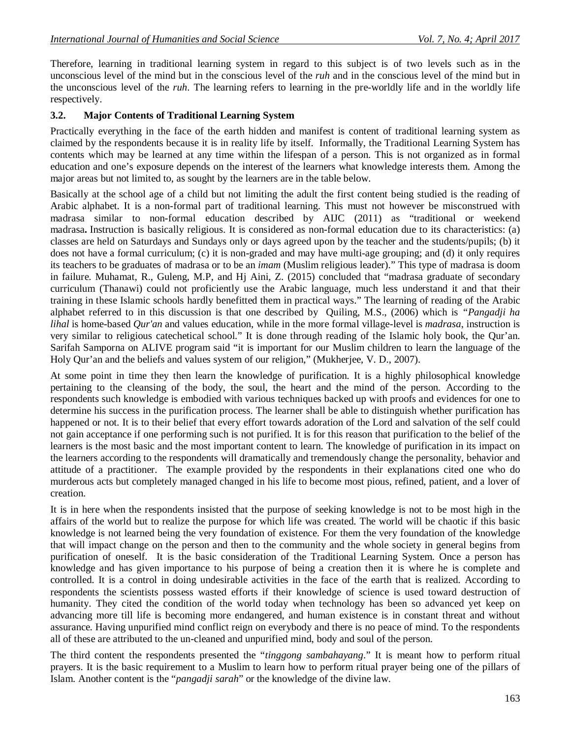Therefore, learning in traditional learning system in regard to this subject is of two levels such as in the unconscious level of the mind but in the conscious level of the *ruh* and in the conscious level of the mind but in the unconscious level of the *ruh*. The learning refers to learning in the pre-worldly life and in the worldly life respectively.

### **3.2. Major Contents of Traditional Learning System**

Practically everything in the face of the earth hidden and manifest is content of traditional learning system as claimed by the respondents because it is in reality life by itself. Informally, the Traditional Learning System has contents which may be learned at any time within the lifespan of a person. This is not organized as in formal education and one's exposure depends on the interest of the learners what knowledge interests them. Among the major areas but not limited to, as sought by the learners are in the table below.

Basically at the school age of a child but not limiting the adult the first content being studied is the reading of Arabic alphabet. It is a non-formal part of traditional learning. This must not however be misconstrued with madrasa similar to non-formal education described by AIJC (2011) as "traditional or weekend madrasa**.** Instruction is basically religious. It is considered as non-formal education due to its characteristics: (a) classes are held on Saturdays and Sundays only or days agreed upon by the teacher and the students/pupils; (b) it does not have a formal curriculum; (c) it is non-graded and may have multi-age grouping; and (d) it only requires its teachers to be graduates of madrasa or to be an *imam* (Muslim religious leader)." This type of madrasa is doom in failure. Muhamat, R., Guleng, M.P, and Hj Aini, Z. (2015) concluded that "madrasa graduate of secondary curriculum (Thanawi) could not proficiently use the Arabic language, much less understand it and that their training in these Islamic schools hardly benefitted them in practical ways." The learning of reading of the Arabic alphabet referred to in this discussion is that one described by Quiling, M.S., (2006) which is *"Pangadji ha lihal* is home-based *Qur'an* and values education, while in the more formal village-level is *madrasa*, instruction is very similar to religious catechetical school." It is done through reading of the Islamic holy book, the Qur'an. Sarifah Samporna on ALIVE program said "it is important for our Muslim children to learn the language of the Holy Qur'an and the beliefs and values system of our religion," (Mukherjee, V. D., 2007).

At some point in time they then learn the knowledge of purification. It is a highly philosophical knowledge pertaining to the cleansing of the body, the soul, the heart and the mind of the person. According to the respondents such knowledge is embodied with various techniques backed up with proofs and evidences for one to determine his success in the purification process. The learner shall be able to distinguish whether purification has happened or not. It is to their belief that every effort towards adoration of the Lord and salvation of the self could not gain acceptance if one performing such is not purified. It is for this reason that purification to the belief of the learners is the most basic and the most important content to learn. The knowledge of purification in its impact on the learners according to the respondents will dramatically and tremendously change the personality, behavior and attitude of a practitioner. The example provided by the respondents in their explanations cited one who do murderous acts but completely managed changed in his life to become most pious, refined, patient, and a lover of creation.

It is in here when the respondents insisted that the purpose of seeking knowledge is not to be most high in the affairs of the world but to realize the purpose for which life was created. The world will be chaotic if this basic knowledge is not learned being the very foundation of existence. For them the very foundation of the knowledge that will impact change on the person and then to the community and the whole society in general begins from purification of oneself. It is the basic consideration of the Traditional Learning System. Once a person has knowledge and has given importance to his purpose of being a creation then it is where he is complete and controlled. It is a control in doing undesirable activities in the face of the earth that is realized. According to respondents the scientists possess wasted efforts if their knowledge of science is used toward destruction of humanity. They cited the condition of the world today when technology has been so advanced yet keep on advancing more till life is becoming more endangered, and human existence is in constant threat and without assurance. Having unpurified mind conflict reign on everybody and there is no peace of mind. To the respondents all of these are attributed to the un-cleaned and unpurified mind, body and soul of the person.

The third content the respondents presented the "*tinggong sambahayang*." It is meant how to perform ritual prayers. It is the basic requirement to a Muslim to learn how to perform ritual prayer being one of the pillars of Islam. Another content is the "*pangadji sarah*" or the knowledge of the divine law.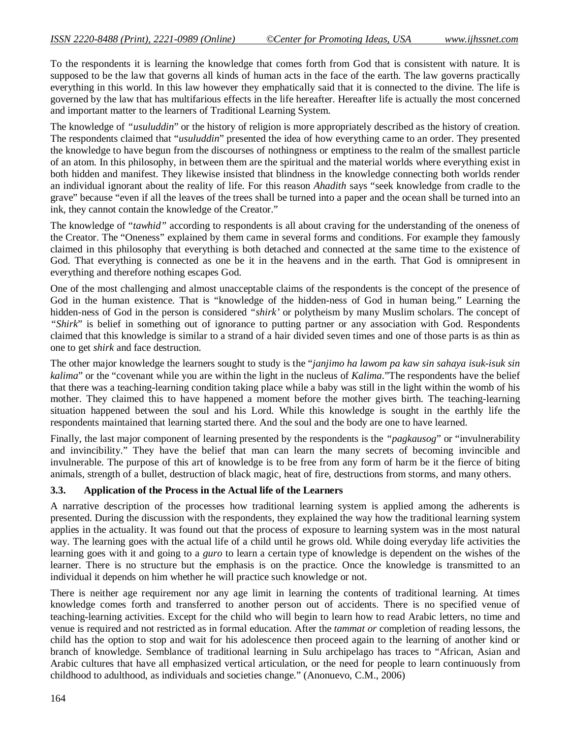To the respondents it is learning the knowledge that comes forth from God that is consistent with nature. It is supposed to be the law that governs all kinds of human acts in the face of the earth. The law governs practically everything in this world. In this law however they emphatically said that it is connected to the divine. The life is governed by the law that has multifarious effects in the life hereafter. Hereafter life is actually the most concerned and important matter to the learners of Traditional Learning System.

The knowledge of *"usuluddin*" or the history of religion is more appropriately described as the history of creation. The respondents claimed that "*usuluddin*" presented the idea of how everything came to an order. They presented the knowledge to have begun from the discourses of nothingness or emptiness to the realm of the smallest particle of an atom. In this philosophy, in between them are the spiritual and the material worlds where everything exist in both hidden and manifest. They likewise insisted that blindness in the knowledge connecting both worlds render an individual ignorant about the reality of life. For this reason *Ahadith* says "seek knowledge from cradle to the grave" because "even if all the leaves of the trees shall be turned into a paper and the ocean shall be turned into an ink, they cannot contain the knowledge of the Creator."

The knowledge of "*tawhid"* according to respondents is all about craving for the understanding of the oneness of the Creator. The "Oneness" explained by them came in several forms and conditions. For example they famously claimed in this philosophy that everything is both detached and connected at the same time to the existence of God. That everything is connected as one be it in the heavens and in the earth. That God is omnipresent in everything and therefore nothing escapes God.

One of the most challenging and almost unacceptable claims of the respondents is the concept of the presence of God in the human existence. That is "knowledge of the hidden-ness of God in human being." Learning the hidden-ness of God in the person is considered *"shirk'* or polytheism by many Muslim scholars. The concept of *"Shirk*" is belief in something out of ignorance to putting partner or any association with God. Respondents claimed that this knowledge is similar to a strand of a hair divided seven times and one of those parts is as thin as one to get *shirk* and face destruction.

The other major knowledge the learners sought to study is the "*janjimo ha lawom pa kaw sin sahaya isuk-isuk sin kalima*" or the "covenant while you are within the light in the nucleus of *Kalima*."The respondents have the belief that there was a teaching-learning condition taking place while a baby was still in the light within the womb of his mother. They claimed this to have happened a moment before the mother gives birth. The teaching-learning situation happened between the soul and his Lord. While this knowledge is sought in the earthly life the respondents maintained that learning started there. And the soul and the body are one to have learned.

Finally, the last major component of learning presented by the respondents is the *"pagkausog*" or "invulnerability and invincibility." They have the belief that man can learn the many secrets of becoming invincible and invulnerable. The purpose of this art of knowledge is to be free from any form of harm be it the fierce of biting animals, strength of a bullet, destruction of black magic, heat of fire, destructions from storms, and many others.

#### **3.3. Application of the Process in the Actual life of the Learners**

A narrative description of the processes how traditional learning system is applied among the adherents is presented. During the discussion with the respondents, they explained the way how the traditional learning system applies in the actuality. It was found out that the process of exposure to learning system was in the most natural way. The learning goes with the actual life of a child until he grows old. While doing everyday life activities the learning goes with it and going to a *guro* to learn a certain type of knowledge is dependent on the wishes of the learner. There is no structure but the emphasis is on the practice. Once the knowledge is transmitted to an individual it depends on him whether he will practice such knowledge or not.

There is neither age requirement nor any age limit in learning the contents of traditional learning. At times knowledge comes forth and transferred to another person out of accidents. There is no specified venue of teaching-learning activities. Except for the child who will begin to learn how to read Arabic letters, no time and venue is required and not restricted as in formal education. After the *tammat or* completion of reading lessons, the child has the option to stop and wait for his adolescence then proceed again to the learning of another kind or branch of knowledge. Semblance of traditional learning in Sulu archipelago has traces to "African, Asian and Arabic cultures that have all emphasized vertical articulation, or the need for people to learn continuously from childhood to adulthood, as individuals and societies change." (Anonuevo, C.M., 2006)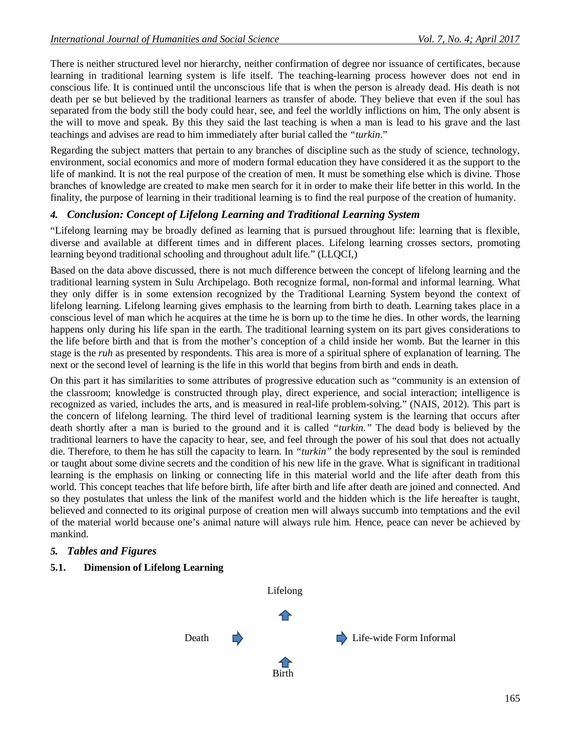There is neither structured level nor hierarchy, neither confirmation of degree nor issuance of certificates, because learning in traditional learning system is life itself. The teaching-learning process however does not end in conscious life. It is continued until the unconscious life that is when the person is already dead. His death is not death per se but believed by the traditional learners as transfer of abode. They believe that even if the soul has separated from the body still the body could hear, see, and feel the worldly inflictions on him, The only absent is the will to move and speak. By this they said the last teaching is when a man is lead to his grave and the last teachings and advises are read to him immediately after burial called the *"turkin*."

Regarding the subject matters that pertain to any branches of discipline such as the study of science, technology, environment, social economics and more of modern formal education they have considered it as the support to the life of mankind. It is not the real purpose of the creation of men. It must be something else which is divine. Those branches of knowledge are created to make men search for it in order to make their life better in this world. In the finality, the purpose of learning in their traditional learning is to find the real purpose of the creation of humanity.

# *4. Conclusion: Concept of Lifelong Learning and Traditional Learning System*

"Lifelong learning may be broadly defined as learning that is pursued throughout life: learning that is flexible, diverse and available at different times and in different places. Lifelong learning crosses sectors, promoting learning beyond traditional schooling and throughout adult life." (LLQCI,)

Based on the data above discussed, there is not much difference between the concept of lifelong learning and the traditional learning system in Sulu Archipelago. Both recognize formal, non-formal and informal learning. What they only differ is in some extension recognized by the Traditional Learning System beyond the context of lifelong learning. Lifelong learning gives emphasis to the learning from birth to death. Learning takes place in a conscious level of man which he acquires at the time he is born up to the time he dies. In other words, the learning happens only during his life span in the earth. The traditional learning system on its part gives considerations to the life before birth and that is from the mother's conception of a child inside her womb. But the learner in this stage is the *ruh* as presented by respondents. This area is more of a spiritual sphere of explanation of learning. The next or the second level of learning is the life in this world that begins from birth and ends in death.

On this part it has similarities to some attributes of progressive education such as "community is an extension of the classroom; knowledge is constructed through play, direct experience, and social interaction; intelligence is recognized as varied, includes the arts, and is measured in real-life problem-solving." (NAIS, 2012). This part is the concern of lifelong learning. The third level of traditional learning system is the learning that occurs after death shortly after a man is buried to the ground and it is called *"turkin."* The dead body is believed by the traditional learners to have the capacity to hear, see, and feel through the power of his soul that does not actually die. Therefore, to them he has still the capacity to learn. In *"turkin"* the body represented by the soul is reminded or taught about some divine secrets and the condition of his new life in the grave. What is significant in traditional learning is the emphasis on linking or connecting life in this material world and the life after death from this world. This concept teaches that life before birth, life after birth and life after death are joined and connected. And so they postulates that unless the link of the manifest world and the hidden which is the life hereafter is taught, believed and connected to its original purpose of creation men will always succumb into temptations and the evil of the material world because one's animal nature will always rule him. Hence, peace can never be achieved by mankind.

### *5. Tables and Figures*

**5.1. Dimension of Lifelong Learning**

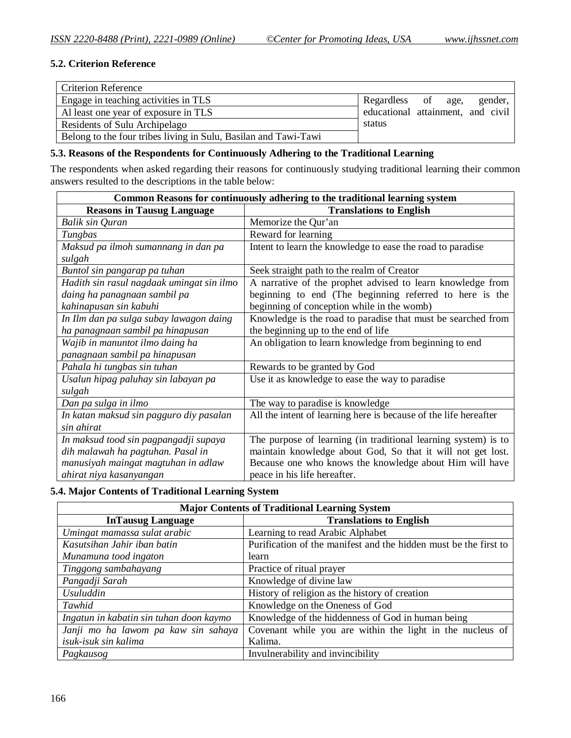### **5.2. Criterion Reference**

| <b>Criterion Reference</b>                                      |                                   |  |         |
|-----------------------------------------------------------------|-----------------------------------|--|---------|
| Engage in teaching activities in TLS                            | Regardless of age,                |  | gender, |
| Al least one year of exposure in TLS                            | educational attainment, and civil |  |         |
| Residents of Sulu Archipelago                                   | status                            |  |         |
| Belong to the four tribes living in Sulu, Basilan and Tawi-Tawi |                                   |  |         |

#### **5.3. Reasons of the Respondents for Continuously Adhering to the Traditional Learning**

The respondents when asked regarding their reasons for continuously studying traditional learning their common answers resulted to the descriptions in the table below:

| Common Reasons for continuously adhering to the traditional learning system |                                                                  |  |  |
|-----------------------------------------------------------------------------|------------------------------------------------------------------|--|--|
| <b>Reasons in Tausug Language</b>                                           | <b>Translations to English</b>                                   |  |  |
| Balik sin Quran                                                             | Memorize the Qur'an                                              |  |  |
| Tungbas                                                                     | Reward for learning                                              |  |  |
| Maksud pa ilmoh sumannang in dan pa                                         | Intent to learn the knowledge to ease the road to paradise       |  |  |
| sulgah                                                                      |                                                                  |  |  |
| Buntol sin pangarap pa tuhan                                                | Seek straight path to the realm of Creator                       |  |  |
| Hadith sin rasul nagdaak umingat sin ilmo                                   | A narrative of the prophet advised to learn knowledge from       |  |  |
| daing ha panagnaan sambil pa                                                | beginning to end (The beginning referred to here is the          |  |  |
| kahinapusan sin kabuhi                                                      | beginning of conception while in the womb)                       |  |  |
| In Ilm dan pa sulga subay lawagon daing                                     | Knowledge is the road to paradise that must be searched from     |  |  |
| ha panagnaan sambil pa hinapusan                                            | the beginning up to the end of life                              |  |  |
| Wajib in manuntot ilmo daing ha                                             | An obligation to learn knowledge from beginning to end           |  |  |
| panagnaan sambil pa hinapusan                                               |                                                                  |  |  |
| Pahala hi tungbas sin tuhan                                                 | Rewards to be granted by God                                     |  |  |
| Usalun hipag paluhay sin labayan pa                                         | Use it as knowledge to ease the way to paradise                  |  |  |
| sulgah                                                                      |                                                                  |  |  |
| Dan pa sulga in ilmo                                                        | The way to paradise is knowledge                                 |  |  |
| In katan maksud sin pagguro diy pasalan                                     | All the intent of learning here is because of the life hereafter |  |  |
| sin ahirat                                                                  |                                                                  |  |  |
| In maksud tood sin pagpangadji supaya                                       | The purpose of learning (in traditional learning system) is to   |  |  |
| dih malawah ha pagtuhan. Pasal in                                           | maintain knowledge about God, So that it will not get lost.      |  |  |
| manusiyah maingat magtuhan in adlaw                                         | Because one who knows the knowledge about Him will have          |  |  |
| ahirat niya kasanyangan                                                     | peace in his life hereafter.                                     |  |  |

**5.4. Major Contents of Traditional Learning System**

| <b>Major Contents of Traditional Learning System</b>       |                                                                  |  |  |
|------------------------------------------------------------|------------------------------------------------------------------|--|--|
| <b>Translations to English</b><br><b>InTausug Language</b> |                                                                  |  |  |
| Umingat mamassa sulat arabic                               | Learning to read Arabic Alphabet                                 |  |  |
| Kasutsihan Jahir iban batin                                | Purification of the manifest and the hidden must be the first to |  |  |
| Munamuna tood ingaton                                      | learn                                                            |  |  |
| Tinggong sambahayang                                       | Practice of ritual prayer                                        |  |  |
| Pangadji Sarah                                             | Knowledge of divine law                                          |  |  |
| <b>Usuluddin</b>                                           | History of religion as the history of creation                   |  |  |
| Tawhid                                                     | Knowledge on the Oneness of God                                  |  |  |
| Ingatun in kabatin sin tuhan doon kaymo                    | Knowledge of the hiddenness of God in human being                |  |  |
| Janji mo ha lawom pa kaw sin sahaya                        | Covenant while you are within the light in the nucleus of        |  |  |
| isuk-isuk sin kalima                                       | Kalima.                                                          |  |  |
| Pagkausog                                                  | Invulnerability and invincibility                                |  |  |